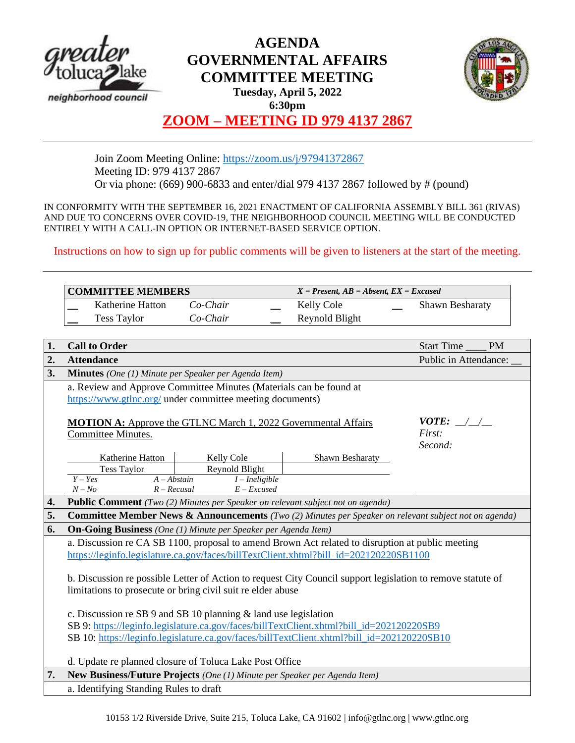

# **AGENDA GOVERNMENTAL AFFAIRS COMMITTEE MEETING**



**Tuesday, April 5, 2022 6:30pm**

# **ZOOM – MEETING ID 979 4137 2867**

Join Zoom Meeting Online:<https://zoom.us/j/97941372867> Meeting ID: 979 4137 2867 Or via phone: (669) 900-6833 and enter/dial 979 4137 2867 followed by # (pound)

IN CONFORMITY WITH THE SEPTEMBER 16, 2021 ENACTMENT OF CALIFORNIA ASSEMBLY BILL 361 (RIVAS) AND DUE TO CONCERNS OVER COVID-19, THE NEIGHBORHOOD COUNCIL MEETING WILL BE CONDUCTED ENTIRELY WITH A CALL-IN OPTION OR INTERNET-BASED SERVICE OPTION.

Instructions on how to sign up for public comments will be given to listeners at the start of the meeting.

|    | <b>COMMITTEE MEMBERS</b>                                                                                         |                              | $X = Present, AB = Absent, EX = Excused$ |                                |
|----|------------------------------------------------------------------------------------------------------------------|------------------------------|------------------------------------------|--------------------------------|
|    | Katherine Hatton                                                                                                 | Co-Chair                     | Kelly Cole                               | <b>Shawn Besharaty</b>         |
|    | <b>Tess Taylor</b>                                                                                               | Co-Chair                     | Reynold Blight                           |                                |
|    |                                                                                                                  |                              |                                          |                                |
| 1. | <b>Call to Order</b>                                                                                             |                              |                                          | <b>Start Time</b><br><b>PM</b> |
| 2. | <b>Attendance</b>                                                                                                |                              |                                          | Public in Attendance:          |
| 3. | <b>Minutes</b> (One (1) Minute per Speaker per Agenda Item)                                                      |                              |                                          |                                |
|    | a. Review and Approve Committee Minutes (Materials can be found at                                               |                              |                                          |                                |
|    | https://www.gtlnc.org/ under committee meeting documents)                                                        |                              |                                          |                                |
|    |                                                                                                                  |                              |                                          |                                |
|    | <i>VOTE:</i> $\angle$<br><b>MOTION A:</b> Approve the GTLNC March 1, 2022 Governmental Affairs                   |                              |                                          |                                |
|    | Committee Minutes.                                                                                               |                              |                                          | First:                         |
|    |                                                                                                                  |                              |                                          | Second:                        |
|    | Katherine Hatton<br><b>Tess Taylor</b>                                                                           | Kelly Cole<br>Reynold Blight | Shawn Besharaty                          |                                |
|    | $\overline{A - Abstain}$<br>$Y - Yes$                                                                            | $I$ – Ineligible             |                                          |                                |
|    | $N - No$<br>$R - Recusal$                                                                                        | $E$ – Excused                |                                          |                                |
| 4. | <b>Public Comment</b> (Two (2) Minutes per Speaker on relevant subject not on agenda)                            |                              |                                          |                                |
| 5. | <b>Committee Member News &amp; Announcements</b> (Two (2) Minutes per Speaker on relevant subject not on agenda) |                              |                                          |                                |
| 6. | <b>On-Going Business</b> (One (1) Minute per Speaker per Agenda Item)                                            |                              |                                          |                                |
|    | a. Discussion re CA SB 1100, proposal to amend Brown Act related to disruption at public meeting                 |                              |                                          |                                |
|    | https://leginfo.legislature.ca.gov/faces/billTextClient.xhtml?bill_id=202120220SB1100                            |                              |                                          |                                |
|    |                                                                                                                  |                              |                                          |                                |
|    | b. Discussion re possible Letter of Action to request City Council support legislation to remove statute of      |                              |                                          |                                |
|    | limitations to prosecute or bring civil suit re elder abuse                                                      |                              |                                          |                                |
|    |                                                                                                                  |                              |                                          |                                |
|    | c. Discussion re SB 9 and SB 10 planning & land use legislation                                                  |                              |                                          |                                |
|    | SB 9: https://leginfo.legislature.ca.gov/faces/billTextClient.xhtml?bill id=202120220SB9                         |                              |                                          |                                |
|    | SB 10: https://leginfo.legislature.ca.gov/faces/billTextClient.xhtml?bill_id=202120220SB10                       |                              |                                          |                                |
|    | d. Update re planned closure of Toluca Lake Post Office                                                          |                              |                                          |                                |
| 7. | New Business/Future Projects (One (1) Minute per Speaker per Agenda Item)                                        |                              |                                          |                                |
|    | a. Identifying Standing Rules to draft                                                                           |                              |                                          |                                |